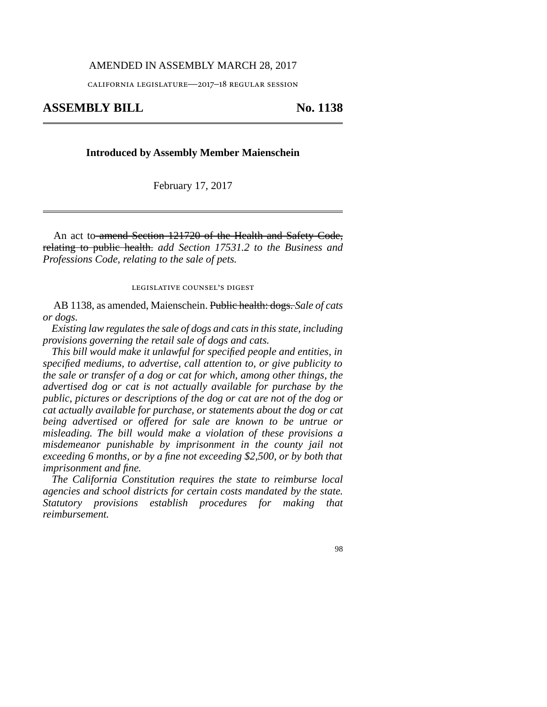## AMENDED IN ASSEMBLY MARCH 28, 2017

california legislature—2017–18 regular session

# ASSEMBLY BILL No. 1138

## **Introduced by Assembly Member Maienschein**

February 17, 2017

An act to amend Section 121720 of the Health and Safety Code, relating to public health. *add Section 17531.2 to the Business and Professions Code, relating to the sale of pets.*

legislative counsel's digest

AB 1138, as amended, Maienschein. Public health: dogs. *Sale of cats or dogs.*

*Existing law regulates the sale of dogs and cats in this state, including provisions governing the retail sale of dogs and cats.*

*This bill would make it unlawful for specified people and entities, in specified mediums, to advertise, call attention to, or give publicity to the sale or transfer of a dog or cat for which, among other things, the advertised dog or cat is not actually available for purchase by the public, pictures or descriptions of the dog or cat are not of the dog or cat actually available for purchase, or statements about the dog or cat being advertised or offered for sale are known to be untrue or misleading. The bill would make a violation of these provisions a misdemeanor punishable by imprisonment in the county jail not exceeding 6 months, or by a fine not exceeding \$2,500, or by both that imprisonment and fine.*

*The California Constitution requires the state to reimburse local agencies and school districts for certain costs mandated by the state. Statutory provisions establish procedures for making that reimbursement.*

98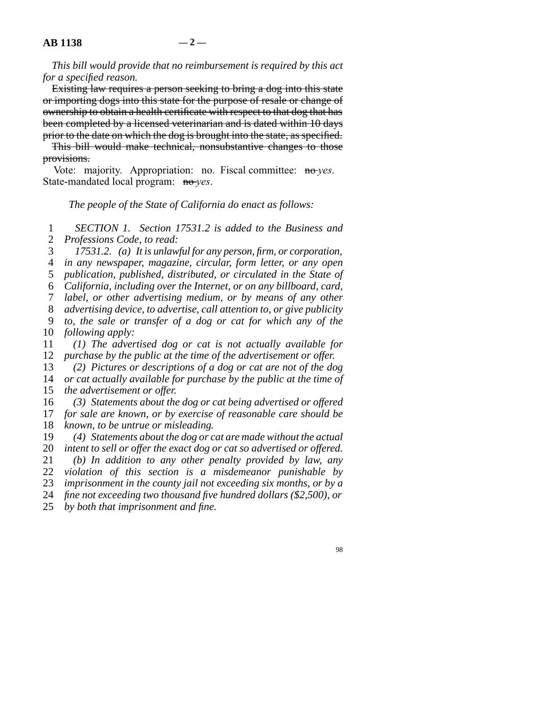*This bill would provide that no reimbursement is required by this act for a specified reason.*

Existing law requires a person seeking to bring a dog into this state or importing dogs into this state for the purpose of resale or change of ownership to obtain a health certificate with respect to that dog that has been completed by a licensed veterinarian and is dated within 10 days prior to the date on which the dog is brought into the state, as specified.

This bill would make technical, nonsubstantive changes to those provisions.

Vote: majority. Appropriation: no. Fiscal committee: no-yes. State-mandated local program: no-*yes*.

*The people of the State of California do enact as follows:*

 line 1 *SECTION 1. Section 17531.2 is added to the Business and* 2 *Professions Code, to read:* 

line 3 *17531.2. (a) It is unlawful for any person, firm, or corporation,*

line 4 *in any newspaper, magazine, circular, form letter, or any open*

5 *publication, published, distributed, or circulated in the State of* 

line 6 *California, including over the Internet, or on any billboard, card,*

line 7 *label, or other advertising medium, or by means of any other*

line 8 *advertising device, to advertise, call attention to, or give publicity*

 line 9 *to, the sale or transfer of a dog or cat for which any of the* 10 *following apply:* 

 line 11 *(1) The advertised dog or cat is not actually available for* 12 *purchase by the public at the time of the advertisement or offer.* 

13 (2) Pictures or descriptions of a dog or cat are not of the dog 14 *or cat actually available for purchase by the public at the time of* 15 *the advertisement or offer.* 

16 (3) Statements about the dog or cat being advertised or offered 17 *for sale are known, or by exercise of reasonable care should be* 18 *known, to be untrue or misleading.* 

19 (4) Statements about the dog or cat are made without the actual

20 *intent to sell or offer the exact dog or cat so advertised or offered.* line 21 *(b) In addition to any other penalty provided by law, any*

22 *violation of this section is a misdemeanor punishable by* 

23 *imprisonment in the county jail not exceeding six months, or by a* 

24 *fine not exceeding two thousand five hundred dollars (\$2,500), or* 

25 *by both that imprisonment and fine.*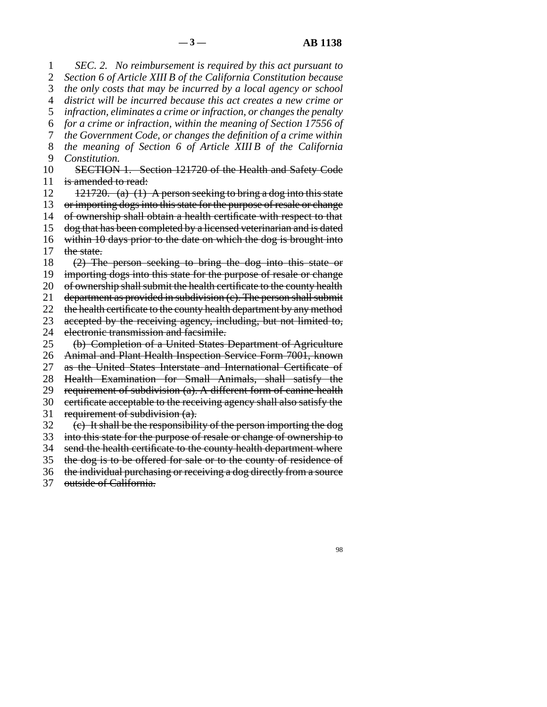line 1 *SEC. 2. No reimbursement is required by this act pursuant to* 2 *Section 6 of Article XIII B of the California Constitution because* 3 *the only costs that may be incurred by a local agency or school*  line 4 *district will be incurred because this act creates a new crime or* 5 *infraction, eliminates a crime or infraction, or changes the penalty*  line 6 *for a crime or infraction, within the meaning of Section 17556 of* line 7 *the Government Code, or changes the definition of a crime within* line 8 *the meaning of Section 6 of Article XIII B of the California* 9 *Constitution.* 10 SECTION 1. Section 121720 of the Health and Safety Code 11 is amended to read: 12  $12^{121720}$ . (a) (1) A person seeking to bring a dog into this state 13 or importing dogs into this state for the purpose of resale or change 14 of ownership shall obtain a health certificate with respect to that 15 dog that has been completed by a licensed veterinarian and is dated 16 within  $10$  days prior to the date on which the dog is brought into 17 the state. 18  $(2)$  The person seeking to bring the dog into this state or 19 importing dogs into this state for the purpose of resale or change 20 of ownership shall submit the health certificate to the county health 21 department as provided in subdivision  $(c)$ . The person shall submit 22 the health certificate to the county health department by any method 23 accepted by the receiving agency, including, but not limited to, 24 electronic transmission and facsimile.<br>25 (b) Completion of a United States (b) Completion of a United States Department of Agriculture 26 Animal and Plant Health Inspection Service Form 7001, known 27 as the United States Interstate and International Certificate of 28 Health Examination for Small Animals, shall satisfy the 29 requirement of subdivision  $(a)$ . A different form of canine health 30 certificate acceptable to the receiving agency shall also satisfy the 31 requirement of subdivision  $(a)$ .  $\delta$  32 (e) It shall be the responsibility of the person importing the dog 33 into this state for the purpose of resale or change of ownership to 34 send the health certificate to the county health department where 35 the dog is to be offered for sale or to the county of residence of 36 the individual purchasing or receiving a dog directly from a source

37 outside of California.

98